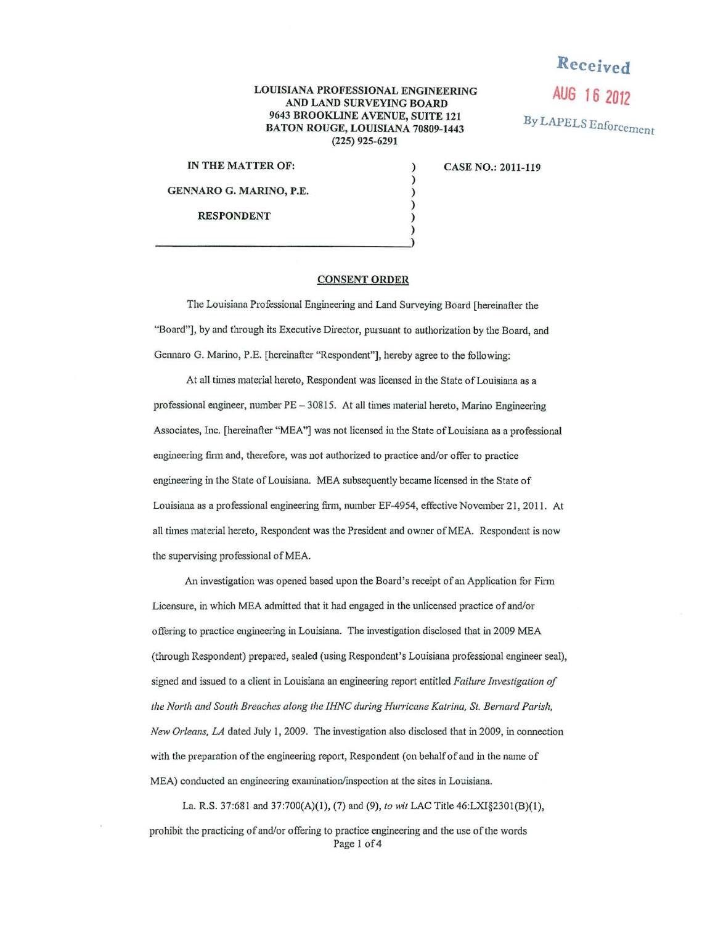## LOUISIANA PROFESSIONAL ENGINEERING AND LAND SURVEYING BOARD 9643 BROOKLINE AVENUE, SUITE 121 BATON ROUGE, LOUISIANA 70809-1443 (225) 925-6291

) ) ) ) ) )

IN THE MATTER OF:

GENNARO G. MARINO, P.E.

RESPONDENT

CASE NO.: 2011-119

**Received** 

**AUG 16 2012** 

By LAPELS Enforcement

## CONSENT ORDER

The Louisiana Professional Engineering and Land Surveying Board [hereinafter the "Board"), by and through its Executive Director, pursuant to authorization by the Board, and Germaro G. Marino, P.E. [hereinafter "Respondent"], hereby agree to the following:

At all times material hereto, Respondent was licensed in the State of Louisiana as a professional engineer, number PE - 30815. At all times material hereto, Marino Engineering Associates, Inc. [hereinafter "MEA"] was not licensed in the State of Louisiana as a professional engineering finn and, therefore, was not authorized to practice and/or offer to practice engineering in the State of Louisiana. MEA subsequently became licensed in the State of Louisiana as a professional engineering firm, number EF-4954, effective November 21, 2011. At all times material hereto, Respondent was the President and owner of MEA. Respondent is now the supervising professional of MEA.

*An* investigation was opened based upon the Board's receipt of an Application for Finn Licensure, in which MEA admitted that it had engaged in the unlicensed practice of and/or offering to practice engineering in Louisiana. The investigation disclosed that in 2009 MEA (through Respondent) prepared, sealed (using Respondent's Louisiana professional engineer seal), signed and issued to a client in Louisiana an engineering report entitled *Failure Investigation of tlze North and South Breaches along tlze IHNC during Hurricane Katrina, St. Bernard Parish, New Orleans, LA* dated July 1, 2009. The investigation also disclosed that in 2009, in connection with the preparation of the engineering report, Respondent (on behalf of and in the name of MEA) conducted an engineering examination/inspection at the sites in Louisiana.

La. R.S. 37:681 and 37:700(A)(l), (7) and (9), *to wit* LAC Title 46:LXI§230l(B)(J), prohibit the practicing of and/or offering to practice engineering and the use ofthe words Page 1 of 4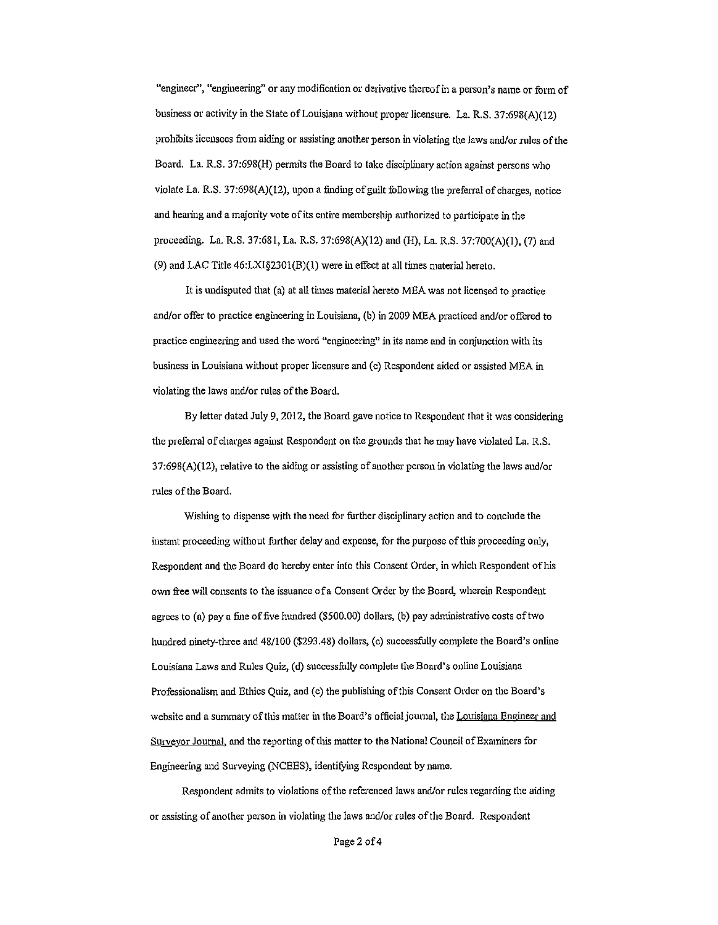"engineer", "engineering" or any modification or derivative thereof in a person's name or form of business or activity in the State of Louisiana without proper licensure. La. R.S. 37:698(A)(12) prohibits licensees from aiding or assisting another person in violating the laws and/or rules of the Board. La. R.S. 37:698(H) permits the Board to take disciplinary action against persons who violate La. R.S.  $37:698(A)(12)$ , upon a finding of guilt following the preferral of charges, notice and hearing and a majority vote of its entire membership authorized to participate in the proceeding. La. R.S. 37:681, La. R.S. 37:698(A)(l2) and (H), La. R.S. 37:700(A)(l), (7) and (9) and LAC Title  $46: LXI\$  (B)(1) were in effect at all times material hereto.

It is undisputed that (a) at all times material hereto MEA was not licensed to practice and/or offer to practice engineering in Louisiana, (b) in 2009 MEA practiced and/or offered to practice engineering and used the word "engineering" in its name and in conjunction with its business in Louisiana without proper licensure and (c) Respondent aided or assisted MEA in violating the laws and/or rules of the Board.

By letter dated July 9, 2012, the Board gave notice to Respondent that it was considering the preferral of charges against Respondent on the grounds that he may have violated La. R.S. 37:698(A)(l2), relative to the aiding or assisting of another person in violating the laws and/or rules of the Board.

Wishing to dispense with the need for further disciplinary action and to conclude the instant proceeding without further delay and expense, for the purpose of this proceeding only, Respondent and the Board do hereby enter into this Consent Order, in which Respondent of his own free will consents to the issuance of a Consent Order by the Board, wherein Respondent agrees to (a) pay a fine of five hundred (\$500.00) dollars, (b) pay administrative costs oftwo hundred ninety-three and 48/100 (\$293.48) dollars, (c) successfully complete the Board's online Louisiana Laws and Rules Quiz, (d) successfully complete the Board's online Louisiana Professionalism and Ethics Quiz, and (e) the publishing of this Consent Order on the Board's website and a summary of this matter in the Board's official journal, the Louisiana Engineer and Surveyor Joumal, and the reporting of this matter to the National Council of Examiners for Engineering and Surveying (NCEES), identifying Respondent by name.

Respondent admits to violations of the referenced laws and/or rules regarding the aiding or assisting of another person in violating the laws and/or rules of the Board. Respondent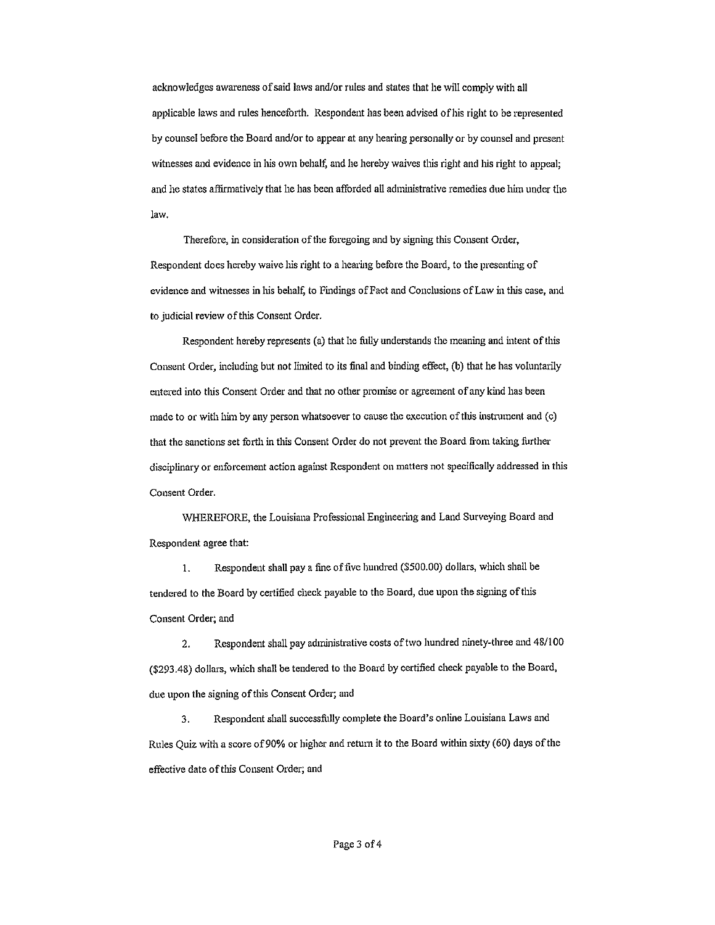acknowledges awareness of said laws and/or rules and states that he will comply with all applicable laws and rules henceforth. Respondent has been advised of his right to be represented by counsel before the Board and/or to appear at any hearing personally or by counsel and present witnesses and evidence in his own behalf, and he hereby waives this right and his right to appeal; and he states affirmatively that he has been afforded all administrative remedies due him under the law.

Therefore, in consideration of the foregoing and by signing this Consent Order, Respondent does hereby waive his right to a hearing before the Board, to the presenting of evidence and witnesses in his behalf, to Findings of Fact and Conclusions of Law in this case, and to judicial review of this Consent Order.

Respondent hereby represents (a) that he fully understands the meaning and intent of this Consent Order, including but not limited to its final and binding effect, (b) that he has voluntarily entered into this Consent Order and that no other promise or agreement of any kind has been made to or with him by any person whatsoever to cause the execution of this instrument and (c) that the sanctions set forth in this Consent Order do not prevent the Board from taking further disciplinary or enforcement action against Respondent on matters not specifically addressed in tllis Consent Order.

WHEREFORE, the Louisiana Professional Engineering and Land Surveying Board and Respondent agree that:

I. Respondent shall pay a fine of five hundred (\$500.00) dollars, which shall be tendered to the Board by certified check payable to the Board, due upon the signing of this Consent Order; and

2. Respondent shall pay administrative costs of two hundred ninety-three and 48/100 (\$293.48) dollars, which shall be tendered to the Board by certified check payable to the Board, due upon the signing of this Consent Order; and

3. Respondent shall successfully complete the Board's online Louisiana Laws and Rules Quiz with a score of90% or higher and return it to the Board within sixty (60) days of the effective date of this Consent Order; and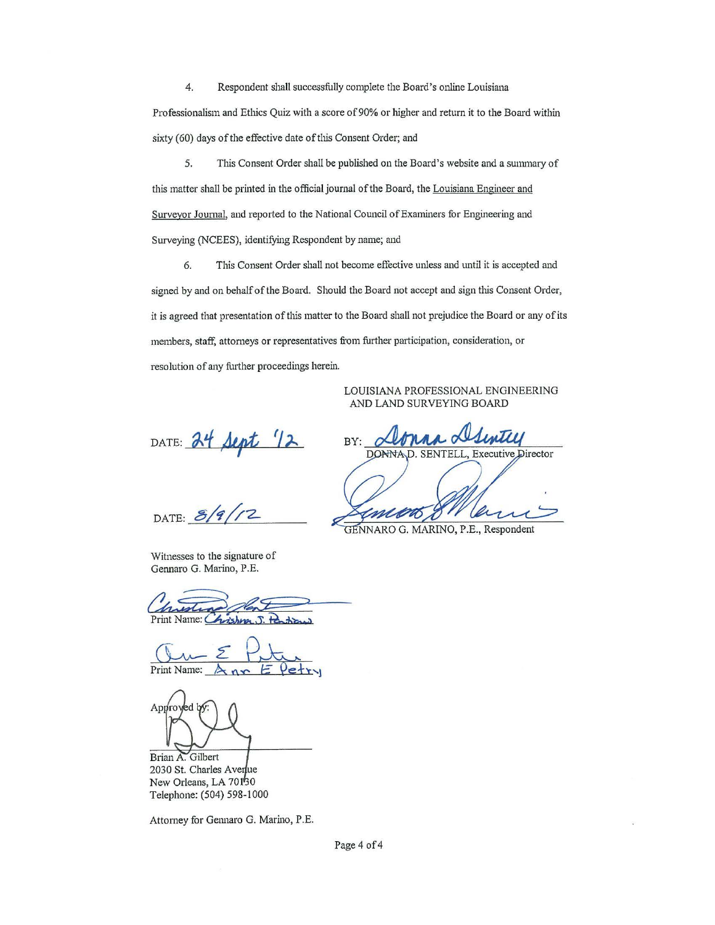4. Respondent shall successfully complete the Board's online Louisiana Professionalism and Ethics Quiz with a score of 90% or higher and return it to the Board within sixty (60) days of the effective date of this Consent Order; and

5. This Consent Order shall be published on the Board's website and a summary of this matter shall be printed in the official journal of the Board, the Louisiana Engineer and Surveyor Journal, and reported to the National Council of Examiners for Engineering and Surveying (NCEES), identifying Respondent by name; and

6. This Consent Order shall not become effective unless and until it is accepted and signed by and on behalf of the Board. Should the Board not accept and sign this Consent Order, it is agreed that presentation of this matter to the Board shall not prejudice the Board or any of its members, staff, attorneys or representatives from further participation, consideration, or resolution of any further proceedings herein.

> LOUISIANA PROFESSIONAL ENGINEERING AND LAND SURVEYING BOARD

DATE:  $24$  Sept  $12$ 

 $DATE: 8/9/12$ 

Witnesses to the signature of Gennaro G. Marino, P.E.

Print Name: C  $\overline{\mathcal{L}}$ wishner

Print Name:

Approved by

Brian A. Gilbert 2030 St. Charles Averlue New Orleans, LA 70150 Telephone: (504) 598-1000

Attorney for Gennaro G. Marino, P.E.

BY: **DONNA** SENTELL, Executive Director

GENNARO G. MARINO, P.E., Respondent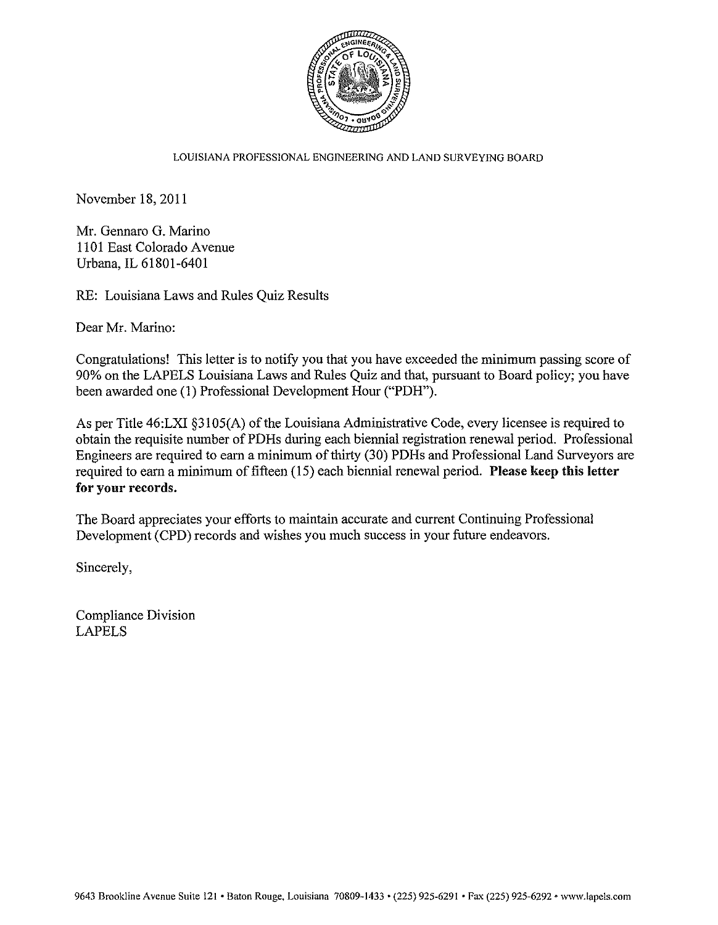

## LOUISIANA PROFESSIONAL ENGINEERING AND LAND SURVEYING BOARD

November 18, 2011

Mr. Gennaro G. Marino 1101 East Colorado Avenue Urbana, IL 61801-6401

RE: Louisiana Laws and Rules Quiz Results

Dear Mr. Marino:

Congratulations! This letter is to notify you that you have exceeded the minimum passing score of 90% on the LAPELS Louisiana Laws and Rules Quiz and that, pursuant to Board policy; you have been awarded one (1) Professional Development Hour ("PDH").

As per Title 46:LXI §3105(A) of the Louisiana Administrative Code, every licensee is required to obtain the requisite number of PDHs during each biennial registration renewal period. Professional Engineers are required to earn a minimum of thirty (30) PDHs and Professional Land Surveyors are required to earn a minimum of fifteen (15) each biennial renewal period. Please keep this letter for your records.

The Board appreciates your efforts to maintain accurate and current Continuing Professional Development (CPD) records and wishes you much success in your future endeavors.

Sincerely,

Compliance Division LAPELS